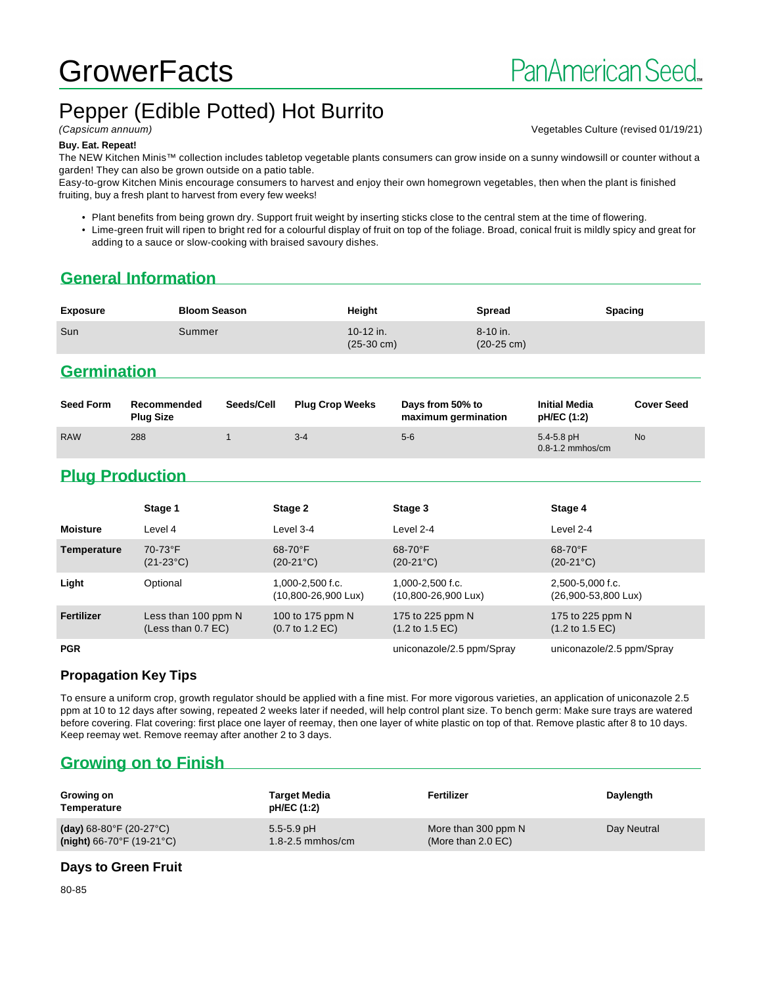# **GrowerFacts**

# Pepper (Edible Potted) Hot Burrito

(Capsicum annuum) Vegetables Culture (revised 01/19/21)

#### **Buy. Eat. Repeat!**

The NEW Kitchen Minis™ collection includes tabletop vegetable plants consumers can grow inside on a sunny windowsill or counter without a garden! They can also be grown outside on a patio table.

Easy-to-grow Kitchen Minis encourage consumers to harvest and enjoy their own homegrown vegetables, then when the plant is finished fruiting, buy a fresh plant to harvest from every few weeks!

• Plant benefits from being grown dry. Support fruit weight by inserting sticks close to the central stem at the time of flowering.

• Lime-green fruit will ripen to bright red for a colourful display of fruit on top of the foliage. Broad, conical fruit is mildly spicy and great for adding to a sauce or slow-cooking with braised savoury dishes.

# **General Information**

| <b>Exposure</b> | <b>Bloom Season</b> | Height                            | Spread                               | <b>Spacing</b> |
|-----------------|---------------------|-----------------------------------|--------------------------------------|----------------|
| Sun             | Summer              | 10-12 in.<br>$(25-30 \text{ cm})$ | $8 - 10$ in.<br>$(20-25 \text{ cm})$ |                |

## **Germination**

| <b>Seed Form</b> | Recommended<br><b>Plug Size</b> | Seeds/Cell | <b>Plug Crop Weeks</b> | Days from 50% to<br>maximum germination | <b>Initial Media</b><br>pH/EC (1:2)    | <b>Cover Seed</b> |
|------------------|---------------------------------|------------|------------------------|-----------------------------------------|----------------------------------------|-------------------|
| <b>RAW</b>       | 288                             |            | $3 - 4$                | $5-6$                                   | $5.4 - 5.8$ pH<br>$0.8 - 1.2$ mmhos/cm | <b>No</b>         |

# **Plug Production**

|                 | Stage 1                                     | Stage 2                                                 | Stage 3                                                 | Stage 4                                                |
|-----------------|---------------------------------------------|---------------------------------------------------------|---------------------------------------------------------|--------------------------------------------------------|
| <b>Moisture</b> | Level 4                                     | Level 3-4                                               | Level 2-4                                               | Level 2-4                                              |
| Temperature     | 70-73°F<br>$(21-23°C)$                      | $68-70$ °F<br>$(20-21^{\circ}C)$                        | 68-70°F<br>$(20-21^{\circ}C)$                           | $68-70$ °F<br>$(20-21^{\circ}C)$                       |
| Light           | Optional                                    | $1.000 - 2.500$ f.c.<br>$(10,800 - 26,900 \text{ Lux})$ | $1.000 - 2.500$ f.c.<br>$(10,800 - 26,900 \text{ Lux})$ | 2.500-5.000 f.c.<br>$(26,900 - 53,800 \text{ Lux})$    |
| Fertilizer      | Less than 100 ppm N<br>(Less than $0.7$ EC) | 100 to 175 ppm N<br>$(0.7 \text{ to } 1.2 \text{ EC})$  | 175 to 225 ppm N<br>$(1.2 \text{ to } 1.5 \text{ EC})$  | 175 to 225 ppm N<br>$(1.2 \text{ to } 1.5 \text{ EC})$ |
| <b>PGR</b>      |                                             |                                                         | uniconazole/2.5 ppm/Spray                               | uniconazole/2.5 ppm/Spray                              |

#### **Propagation Key Tips**

To ensure a uniform crop, growth regulator should be applied with a fine mist. For more vigorous varieties, an application of uniconazole 2.5 ppm at 10 to 12 days after sowing, repeated 2 weeks later if needed, will help control plant size. To bench germ: Make sure trays are watered before covering. Flat covering: first place one layer of reemay, then one layer of white plastic on top of that. Remove plastic after 8 to 10 days. Keep reemay wet. Remove reemay after another 2 to 3 days.

# **Growing on to Finish**

| Growing on<br>Temperature                      | <b>Target Media</b><br>pH/EC (1:2) | Fertilizer           | Daylength   |
|------------------------------------------------|------------------------------------|----------------------|-------------|
| (day) $68-80^{\circ}$ F (20-27 $^{\circ}$ C)   | $5.5 - 5.9$ pH                     | More than 300 ppm N  | Day Neutral |
| (night) $66-70^{\circ}$ F (19-21 $^{\circ}$ C) | $1.8 - 2.5$ mmhos/cm               | (More than $2.0$ EC) |             |

#### **Days to Green Fruit**

80-85